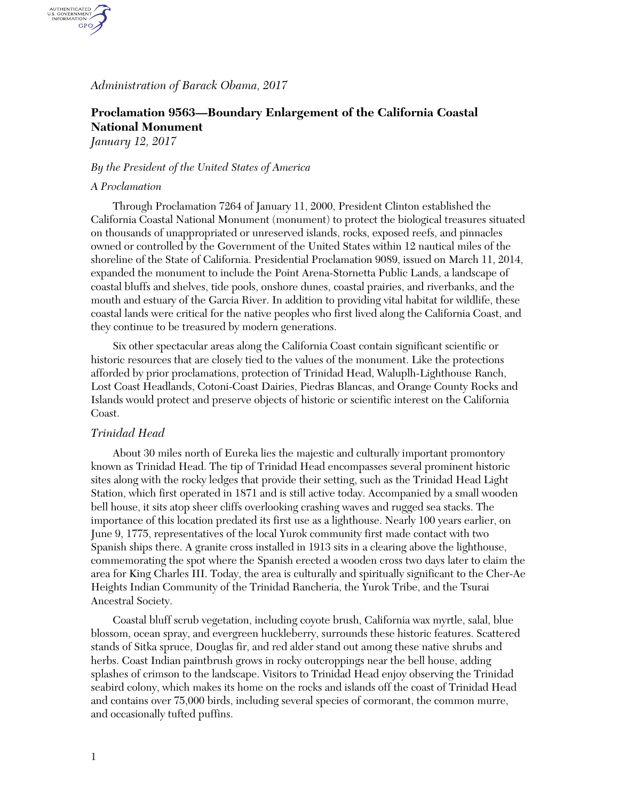# *Administration of Barack Obama, 2017*

# **Proclamation 9563—Boundary Enlargement of the California Coastal National Monument**

*January 12, 2017*

AUTHENTICATED<br>U.S. GOVERNMENT<br>INFORMATION GPO.

## *By the President of the United States of America*

#### *A Proclamation*

Through Proclamation 7264 of January 11, 2000, President Clinton established the California Coastal National Monument (monument) to protect the biological treasures situated on thousands of unappropriated or unreserved islands, rocks, exposed reefs, and pinnacles owned or controlled by the Government of the United States within 12 nautical miles of the shoreline of the State of California. Presidential Proclamation 9089, issued on March 11, 2014, expanded the monument to include the Point Arena-Stornetta Public Lands, a landscape of coastal bluffs and shelves, tide pools, onshore dunes, coastal prairies, and riverbanks, and the mouth and estuary of the Garcia River. In addition to providing vital habitat for wildlife, these coastal lands were critical for the native peoples who first lived along the California Coast, and they continue to be treasured by modern generations.

Six other spectacular areas along the California Coast contain significant scientific or historic resources that are closely tied to the values of the monument. Like the protections afforded by prior proclamations, protection of Trinidad Head, Waluplh-Lighthouse Ranch, Lost Coast Headlands, Cotoni-Coast Dairies, Piedras Blancas, and Orange County Rocks and Islands would protect and preserve objects of historic or scientific interest on the California Coast.

# *Trinidad Head*

About 30 miles north of Eureka lies the majestic and culturally important promontory known as Trinidad Head. The tip of Trinidad Head encompasses several prominent historic sites along with the rocky ledges that provide their setting, such as the Trinidad Head Light Station, which first operated in 1871 and is still active today. Accompanied by a small wooden bell house, it sits atop sheer cliffs overlooking crashing waves and rugged sea stacks. The importance of this location predated its first use as a lighthouse. Nearly 100 years earlier, on June 9, 1775, representatives of the local Yurok community first made contact with two Spanish ships there. A granite cross installed in 1913 sits in a clearing above the lighthouse, commemorating the spot where the Spanish erected a wooden cross two days later to claim the area for King Charles III. Today, the area is culturally and spiritually significant to the Cher-Ae Heights Indian Community of the Trinidad Rancheria, the Yurok Tribe, and the Tsurai Ancestral Society.

Coastal bluff scrub vegetation, including coyote brush, California wax myrtle, salal, blue blossom, ocean spray, and evergreen huckleberry, surrounds these historic features. Scattered stands of Sitka spruce, Douglas fir, and red alder stand out among these native shrubs and herbs. Coast Indian paintbrush grows in rocky outcroppings near the bell house, adding splashes of crimson to the landscape. Visitors to Trinidad Head enjoy observing the Trinidad seabird colony, which makes its home on the rocks and islands off the coast of Trinidad Head and contains over 75,000 birds, including several species of cormorant, the common murre, and occasionally tufted puffins.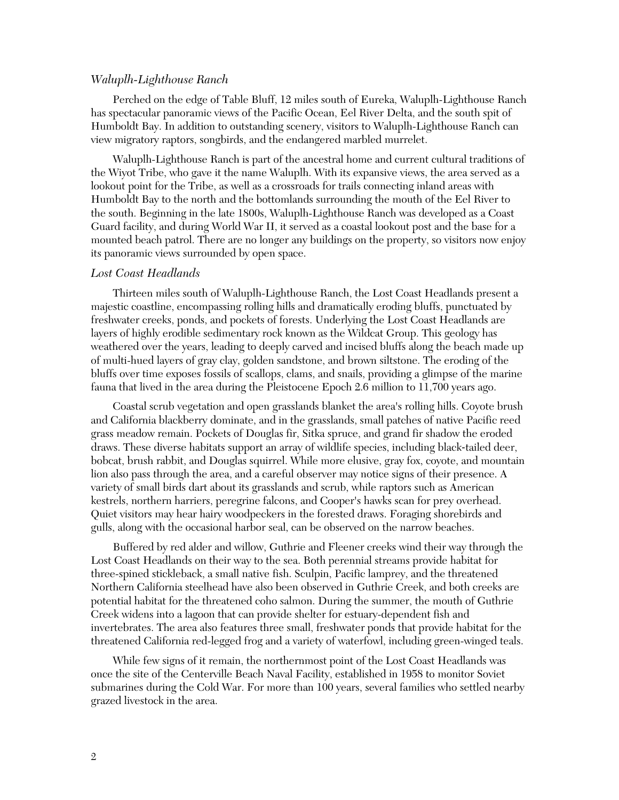## *Waluplh-Lighthouse Ranch*

Perched on the edge of Table Bluff, 12 miles south of Eureka, Waluplh-Lighthouse Ranch has spectacular panoramic views of the Pacific Ocean, Eel River Delta, and the south spit of Humboldt Bay. In addition to outstanding scenery, visitors to Waluplh-Lighthouse Ranch can view migratory raptors, songbirds, and the endangered marbled murrelet.

Waluplh-Lighthouse Ranch is part of the ancestral home and current cultural traditions of the Wiyot Tribe, who gave it the name Waluplh. With its expansive views, the area served as a lookout point for the Tribe, as well as a crossroads for trails connecting inland areas with Humboldt Bay to the north and the bottomlands surrounding the mouth of the Eel River to the south. Beginning in the late 1800s, Waluplh-Lighthouse Ranch was developed as a Coast Guard facility, and during World War II, it served as a coastal lookout post and the base for a mounted beach patrol. There are no longer any buildings on the property, so visitors now enjoy its panoramic views surrounded by open space.

#### *Lost Coast Headlands*

Thirteen miles south of Waluplh-Lighthouse Ranch, the Lost Coast Headlands present a majestic coastline, encompassing rolling hills and dramatically eroding bluffs, punctuated by freshwater creeks, ponds, and pockets of forests. Underlying the Lost Coast Headlands are layers of highly erodible sedimentary rock known as the Wildcat Group. This geology has weathered over the years, leading to deeply carved and incised bluffs along the beach made up of multi-hued layers of gray clay, golden sandstone, and brown siltstone. The eroding of the bluffs over time exposes fossils of scallops, clams, and snails, providing a glimpse of the marine fauna that lived in the area during the Pleistocene Epoch 2.6 million to 11,700 years ago.

Coastal scrub vegetation and open grasslands blanket the area's rolling hills. Coyote brush and California blackberry dominate, and in the grasslands, small patches of native Pacific reed grass meadow remain. Pockets of Douglas fir, Sitka spruce, and grand fir shadow the eroded draws. These diverse habitats support an array of wildlife species, including black‐tailed deer, bobcat, brush rabbit, and Douglas squirrel. While more elusive, gray fox, coyote, and mountain lion also pass through the area, and a careful observer may notice signs of their presence. A variety of small birds dart about its grasslands and scrub, while raptors such as American kestrels, northern harriers, peregrine falcons, and Cooper's hawks scan for prey overhead. Quiet visitors may hear hairy woodpeckers in the forested draws. Foraging shorebirds and gulls, along with the occasional harbor seal, can be observed on the narrow beaches.

Buffered by red alder and willow, Guthrie and Fleener creeks wind their way through the Lost Coast Headlands on their way to the sea. Both perennial streams provide habitat for three-spined stickleback, a small native fish. Sculpin, Pacific lamprey, and the threatened Northern California steelhead have also been observed in Guthrie Creek, and both creeks are potential habitat for the threatened coho salmon. During the summer, the mouth of Guthrie Creek widens into a lagoon that can provide shelter for estuary-dependent fish and invertebrates. The area also features three small, freshwater ponds that provide habitat for the threatened California red-legged frog and a variety of waterfowl, including green-winged teals.

While few signs of it remain, the northernmost point of the Lost Coast Headlands was once the site of the Centerville Beach Naval Facility, established in 1958 to monitor Soviet submarines during the Cold War. For more than 100 years, several families who settled nearby grazed livestock in the area.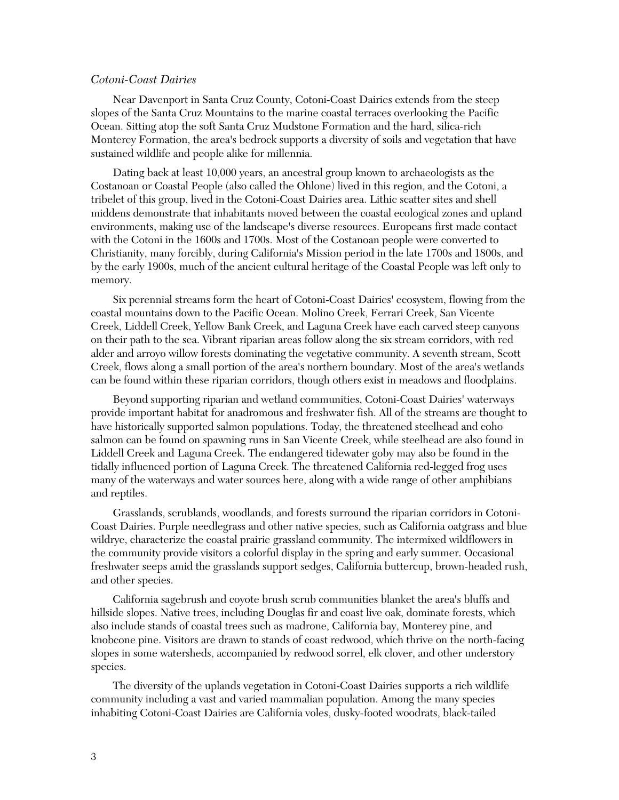### *Cotoni-Coast Dairies*

Near Davenport in Santa Cruz County, Cotoni-Coast Dairies extends from the steep slopes of the Santa Cruz Mountains to the marine coastal terraces overlooking the Pacific Ocean. Sitting atop the soft Santa Cruz Mudstone Formation and the hard, silica-rich Monterey Formation, the area's bedrock supports a diversity of soils and vegetation that have sustained wildlife and people alike for millennia.

Dating back at least 10,000 years, an ancestral group known to archaeologists as the Costanoan or Coastal People (also called the Ohlone) lived in this region, and the Cotoni, a tribelet of this group, lived in the Cotoni-Coast Dairies area. Lithic scatter sites and shell middens demonstrate that inhabitants moved between the coastal ecological zones and upland environments, making use of the landscape's diverse resources. Europeans first made contact with the Cotoni in the 1600s and 1700s. Most of the Costanoan people were converted to Christianity, many forcibly, during California's Mission period in the late 1700s and 1800s, and by the early 1900s, much of the ancient cultural heritage of the Coastal People was left only to memory.

Six perennial streams form the heart of Cotoni-Coast Dairies' ecosystem, flowing from the coastal mountains down to the Pacific Ocean. Molino Creek, Ferrari Creek, San Vicente Creek, Liddell Creek, Yellow Bank Creek, and Laguna Creek have each carved steep canyons on their path to the sea. Vibrant riparian areas follow along the six stream corridors, with red alder and arroyo willow forests dominating the vegetative community. A seventh stream, Scott Creek, flows along a small portion of the area's northern boundary. Most of the area's wetlands can be found within these riparian corridors, though others exist in meadows and floodplains.

Beyond supporting riparian and wetland communities, Cotoni-Coast Dairies' waterways provide important habitat for anadromous and freshwater fish. All of the streams are thought to have historically supported salmon populations. Today, the threatened steelhead and coho salmon can be found on spawning runs in San Vicente Creek, while steelhead are also found in Liddell Creek and Laguna Creek. The endangered tidewater goby may also be found in the tidally influenced portion of Laguna Creek. The threatened California red-legged frog uses many of the waterways and water sources here, along with a wide range of other amphibians and reptiles.

Grasslands, scrublands, woodlands, and forests surround the riparian corridors in Cotoni-Coast Dairies. Purple needlegrass and other native species, such as California oatgrass and blue wildrye, characterize the coastal prairie grassland community. The intermixed wildflowers in the community provide visitors a colorful display in the spring and early summer. Occasional freshwater seeps amid the grasslands support sedges, California buttercup, brown-headed rush, and other species.

California sagebrush and coyote brush scrub communities blanket the area's bluffs and hillside slopes. Native trees, including Douglas fir and coast live oak, dominate forests, which also include stands of coastal trees such as madrone, California bay, Monterey pine, and knobcone pine. Visitors are drawn to stands of coast redwood, which thrive on the north-facing slopes in some watersheds, accompanied by redwood sorrel, elk clover, and other understory species.

The diversity of the uplands vegetation in Cotoni-Coast Dairies supports a rich wildlife community including a vast and varied mammalian population. Among the many species inhabiting Cotoni-Coast Dairies are California voles, dusky-footed woodrats, black-tailed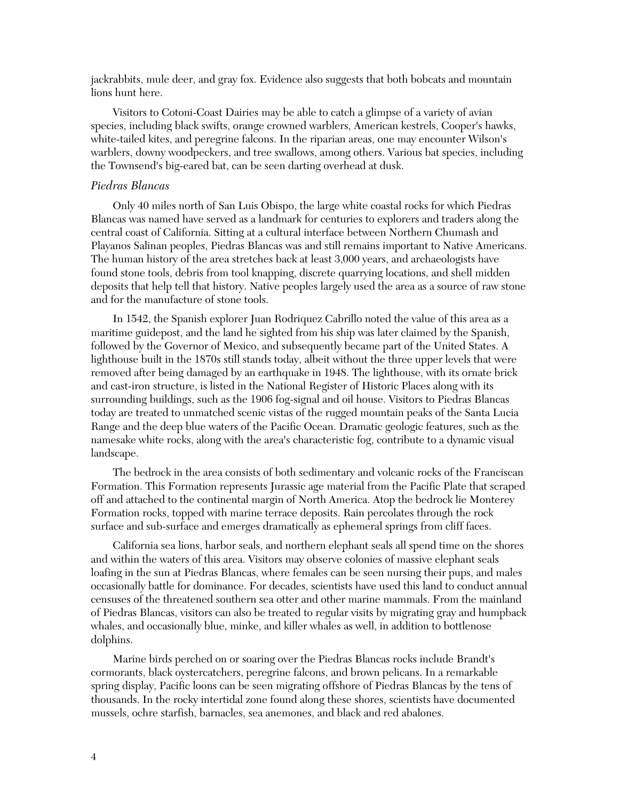jackrabbits, mule deer, and gray fox. Evidence also suggests that both bobcats and mountain lions hunt here.

Visitors to Cotoni-Coast Dairies may be able to catch a glimpse of a variety of avian species, including black swifts, orange crowned warblers, American kestrels, Cooper's hawks, white-tailed kites, and peregrine falcons. In the riparian areas, one may encounter Wilson's warblers, downy woodpeckers, and tree swallows, among others. Various bat species, including the Townsend's big-eared bat, can be seen darting overhead at dusk.

# *Piedras Blancas*

Only 40 miles north of San Luis Obispo, the large white coastal rocks for which Piedras Blancas was named have served as a landmark for centuries to explorers and traders along the central coast of California. Sitting at a cultural interface between Northern Chumash and Playanos Salinan peoples, Piedras Blancas was and still remains important to Native Americans. The human history of the area stretches back at least 3,000 years, and archaeologists have found stone tools, debris from tool knapping, discrete quarrying locations, and shell midden deposits that help tell that history. Native peoples largely used the area as a source of raw stone and for the manufacture of stone tools.

In 1542, the Spanish explorer Juan Rodriquez Cabrillo noted the value of this area as a maritime guidepost, and the land he sighted from his ship was later claimed by the Spanish, followed by the Governor of Mexico, and subsequently became part of the United States. A lighthouse built in the 1870s still stands today, albeit without the three upper levels that were removed after being damaged by an earthquake in 1948. The lighthouse, with its ornate brick and cast-iron structure, is listed in the National Register of Historic Places along with its surrounding buildings, such as the 1906 fog-signal and oil house. Visitors to Piedras Blancas today are treated to unmatched scenic vistas of the rugged mountain peaks of the Santa Lucia Range and the deep blue waters of the Pacific Ocean. Dramatic geologic features, such as the namesake white rocks, along with the area's characteristic fog, contribute to a dynamic visual landscape.

The bedrock in the area consists of both sedimentary and volcanic rocks of the Franciscan Formation. This Formation represents Jurassic age material from the Pacific Plate that scraped off and attached to the continental margin of North America. Atop the bedrock lie Monterey Formation rocks, topped with marine terrace deposits. Rain percolates through the rock surface and sub-surface and emerges dramatically as ephemeral springs from cliff faces.

California sea lions, harbor seals, and northern elephant seals all spend time on the shores and within the waters of this area. Visitors may observe colonies of massive elephant seals loafing in the sun at Piedras Blancas, where females can be seen nursing their pups, and males occasionally battle for dominance. For decades, scientists have used this land to conduct annual censuses of the threatened southern sea otter and other marine mammals. From the mainland of Piedras Blancas, visitors can also be treated to regular visits by migrating gray and humpback whales, and occasionally blue, minke, and killer whales as well, in addition to bottlenose dolphins.

Marine birds perched on or soaring over the Piedras Blancas rocks include Brandt's cormorants, black oystercatchers, peregrine falcons, and brown pelicans. In a remarkable spring display, Pacific loons can be seen migrating offshore of Piedras Blancas by the tens of thousands. In the rocky intertidal zone found along these shores, scientists have documented mussels, ochre starfish, barnacles, sea anemones, and black and red abalones.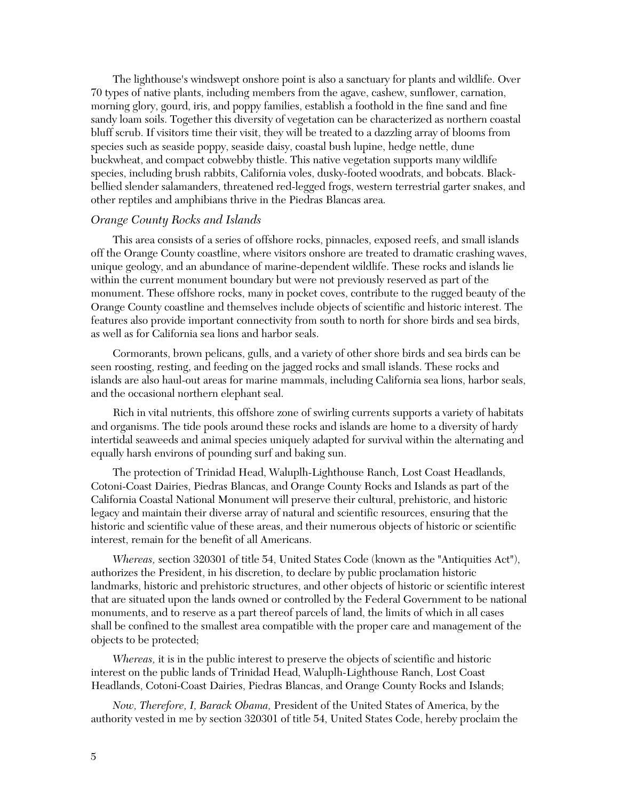The lighthouse's windswept onshore point is also a sanctuary for plants and wildlife. Over 70 types of native plants, including members from the agave, cashew, sunflower, carnation, morning glory, gourd, iris, and poppy families, establish a foothold in the fine sand and fine sandy loam soils. Together this diversity of vegetation can be characterized as northern coastal bluff scrub. If visitors time their visit, they will be treated to a dazzling array of blooms from species such as seaside poppy, seaside daisy, coastal bush lupine, hedge nettle, dune buckwheat, and compact cobwebby thistle. This native vegetation supports many wildlife species, including brush rabbits, California voles, dusky-footed woodrats, and bobcats. Blackbellied slender salamanders, threatened red-legged frogs, western terrestrial garter snakes, and other reptiles and amphibians thrive in the Piedras Blancas area.

## *Orange County Rocks and Islands*

This area consists of a series of offshore rocks, pinnacles, exposed reefs, and small islands off the Orange County coastline, where visitors onshore are treated to dramatic crashing waves, unique geology, and an abundance of marine-dependent wildlife. These rocks and islands lie within the current monument boundary but were not previously reserved as part of the monument. These offshore rocks, many in pocket coves, contribute to the rugged beauty of the Orange County coastline and themselves include objects of scientific and historic interest. The features also provide important connectivity from south to north for shore birds and sea birds, as well as for California sea lions and harbor seals.

Cormorants, brown pelicans, gulls, and a variety of other shore birds and sea birds can be seen roosting, resting, and feeding on the jagged rocks and small islands. These rocks and islands are also haul-out areas for marine mammals, including California sea lions, harbor seals, and the occasional northern elephant seal.

Rich in vital nutrients, this offshore zone of swirling currents supports a variety of habitats and organisms. The tide pools around these rocks and islands are home to a diversity of hardy intertidal seaweeds and animal species uniquely adapted for survival within the alternating and equally harsh environs of pounding surf and baking sun.

The protection of Trinidad Head, Waluplh-Lighthouse Ranch, Lost Coast Headlands, Cotoni-Coast Dairies, Piedras Blancas, and Orange County Rocks and Islands as part of the California Coastal National Monument will preserve their cultural, prehistoric, and historic legacy and maintain their diverse array of natural and scientific resources, ensuring that the historic and scientific value of these areas, and their numerous objects of historic or scientific interest, remain for the benefit of all Americans.

*Whereas,* section 320301 of title 54, United States Code (known as the "Antiquities Act"), authorizes the President, in his discretion, to declare by public proclamation historic landmarks, historic and prehistoric structures, and other objects of historic or scientific interest that are situated upon the lands owned or controlled by the Federal Government to be national monuments, and to reserve as a part thereof parcels of land, the limits of which in all cases shall be confined to the smallest area compatible with the proper care and management of the objects to be protected;

*Whereas,* it is in the public interest to preserve the objects of scientific and historic interest on the public lands of Trinidad Head, Waluplh-Lighthouse Ranch, Lost Coast Headlands, Cotoni-Coast Dairies, Piedras Blancas, and Orange County Rocks and Islands;

*Now, Therefore, I, Barack Obama,* President of the United States of America, by the authority vested in me by section 320301 of title 54, United States Code, hereby proclaim the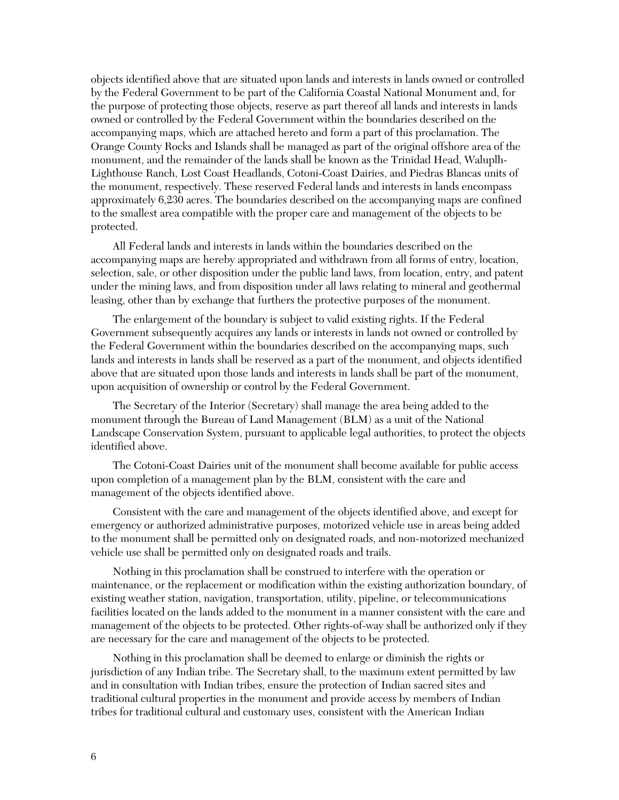objects identified above that are situated upon lands and interests in lands owned or controlled by the Federal Government to be part of the California Coastal National Monument and, for the purpose of protecting those objects, reserve as part thereof all lands and interests in lands owned or controlled by the Federal Government within the boundaries described on the accompanying maps, which are attached hereto and form a part of this proclamation. The Orange County Rocks and Islands shall be managed as part of the original offshore area of the monument, and the remainder of the lands shall be known as the Trinidad Head, Waluplh-Lighthouse Ranch, Lost Coast Headlands, Cotoni-Coast Dairies, and Piedras Blancas units of the monument, respectively. These reserved Federal lands and interests in lands encompass approximately 6,230 acres. The boundaries described on the accompanying maps are confined to the smallest area compatible with the proper care and management of the objects to be protected.

All Federal lands and interests in lands within the boundaries described on the accompanying maps are hereby appropriated and withdrawn from all forms of entry, location, selection, sale, or other disposition under the public land laws, from location, entry, and patent under the mining laws, and from disposition under all laws relating to mineral and geothermal leasing, other than by exchange that furthers the protective purposes of the monument.

The enlargement of the boundary is subject to valid existing rights. If the Federal Government subsequently acquires any lands or interests in lands not owned or controlled by the Federal Government within the boundaries described on the accompanying maps, such lands and interests in lands shall be reserved as a part of the monument, and objects identified above that are situated upon those lands and interests in lands shall be part of the monument, upon acquisition of ownership or control by the Federal Government.

The Secretary of the Interior (Secretary) shall manage the area being added to the monument through the Bureau of Land Management (BLM) as a unit of the National Landscape Conservation System, pursuant to applicable legal authorities, to protect the objects identified above.

The Cotoni-Coast Dairies unit of the monument shall become available for public access upon completion of a management plan by the BLM, consistent with the care and management of the objects identified above.

Consistent with the care and management of the objects identified above, and except for emergency or authorized administrative purposes, motorized vehicle use in areas being added to the monument shall be permitted only on designated roads, and non-motorized mechanized vehicle use shall be permitted only on designated roads and trails.

Nothing in this proclamation shall be construed to interfere with the operation or maintenance, or the replacement or modification within the existing authorization boundary, of existing weather station, navigation, transportation, utility, pipeline, or telecommunications facilities located on the lands added to the monument in a manner consistent with the care and management of the objects to be protected. Other rights-of-way shall be authorized only if they are necessary for the care and management of the objects to be protected.

Nothing in this proclamation shall be deemed to enlarge or diminish the rights or jurisdiction of any Indian tribe. The Secretary shall, to the maximum extent permitted by law and in consultation with Indian tribes, ensure the protection of Indian sacred sites and traditional cultural properties in the monument and provide access by members of Indian tribes for traditional cultural and customary uses, consistent with the American Indian